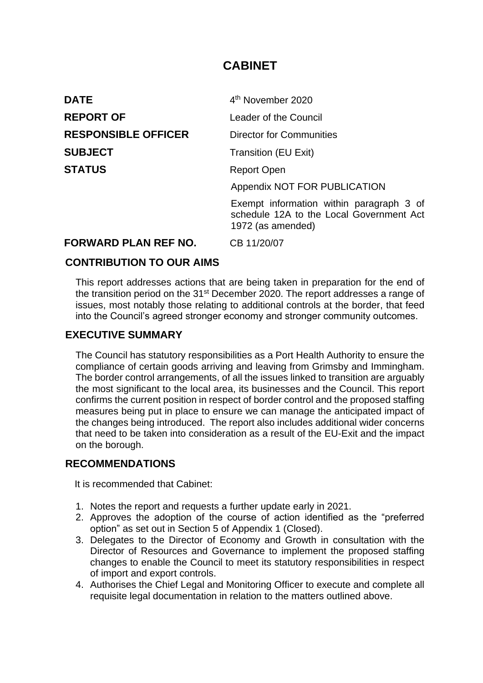# **CABINET**

| <b>DATE</b>                 | 4 <sup>th</sup> November 2020                                                                             |
|-----------------------------|-----------------------------------------------------------------------------------------------------------|
| <b>REPORT OF</b>            | Leader of the Council                                                                                     |
| <b>RESPONSIBLE OFFICER</b>  | <b>Director for Communities</b>                                                                           |
| <b>SUBJECT</b>              | <b>Transition (EU Exit)</b>                                                                               |
| <b>STATUS</b>               | <b>Report Open</b>                                                                                        |
|                             | Appendix NOT FOR PUBLICATION                                                                              |
|                             | Exempt information within paragraph 3 of<br>schedule 12A to the Local Government Act<br>1972 (as amended) |
| <b>FORWARD PLAN REF NO.</b> | CB 11/20/07                                                                                               |

#### **CONTRIBUTION TO OUR AIMS**

This report addresses actions that are being taken in preparation for the end of the transition period on the 31<sup>st</sup> December 2020. The report addresses a range of issues, most notably those relating to additional controls at the border, that feed into the Council's agreed stronger economy and stronger community outcomes.

#### **EXECUTIVE SUMMARY**

The Council has statutory responsibilities as a Port Health Authority to ensure the compliance of certain goods arriving and leaving from Grimsby and Immingham. The border control arrangements, of all the issues linked to transition are arguably the most significant to the local area, its businesses and the Council. This report confirms the current position in respect of border control and the proposed staffing measures being put in place to ensure we can manage the anticipated impact of the changes being introduced. The report also includes additional wider concerns that need to be taken into consideration as a result of the EU-Exit and the impact on the borough.

#### **RECOMMENDATIONS**

It is recommended that Cabinet:

- 1. Notes the report and requests a further update early in 2021.
- 2. Approves the adoption of the course of action identified as the "preferred option" as set out in Section 5 of Appendix 1 (Closed).
- 3. Delegates to the Director of Economy and Growth in consultation with the Director of Resources and Governance to implement the proposed staffing changes to enable the Council to meet its statutory responsibilities in respect of import and export controls.
- 4. Authorises the Chief Legal and Monitoring Officer to execute and complete all requisite legal documentation in relation to the matters outlined above.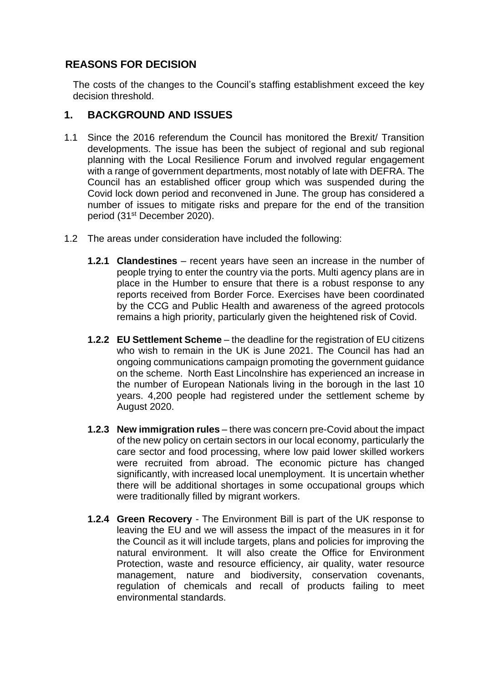# **REASONS FOR DECISION**

The costs of the changes to the Council's staffing establishment exceed the key decision threshold.

#### **1. BACKGROUND AND ISSUES**

- 1.1 Since the 2016 referendum the Council has monitored the Brexit/ Transition developments. The issue has been the subject of regional and sub regional planning with the Local Resilience Forum and involved regular engagement with a range of government departments, most notably of late with DEFRA. The Council has an established officer group which was suspended during the Covid lock down period and reconvened in June. The group has considered a number of issues to mitigate risks and prepare for the end of the transition period (31st December 2020).
- 1.2 The areas under consideration have included the following:
	- **1.2.1 Clandestines** recent years have seen an increase in the number of people trying to enter the country via the ports. Multi agency plans are in place in the Humber to ensure that there is a robust response to any reports received from Border Force. Exercises have been coordinated by the CCG and Public Health and awareness of the agreed protocols remains a high priority, particularly given the heightened risk of Covid.
	- **1.2.2 EU Settlement Scheme** the deadline for the registration of EU citizens who wish to remain in the UK is June 2021. The Council has had an ongoing communications campaign promoting the government guidance on the scheme. North East Lincolnshire has experienced an increase in the number of European Nationals living in the borough in the last 10 years. 4,200 people had registered under the settlement scheme by August 2020.
	- **1.2.3 New immigration rules** there was concern pre-Covid about the impact of the new policy on certain sectors in our local economy, particularly the care sector and food processing, where low paid lower skilled workers were recruited from abroad. The economic picture has changed significantly, with increased local unemployment. It is uncertain whether there will be additional shortages in some occupational groups which were traditionally filled by migrant workers.
	- **1.2.4 Green Recovery** The Environment Bill is part of the UK response to leaving the EU and we will assess the impact of the measures in it for the Council as it will include targets, plans and policies for improving the natural environment. It will also create the Office for Environment Protection, waste and resource efficiency, air quality, water resource management, nature and biodiversity, conservation covenants, regulation of chemicals and recall of products failing to meet environmental standards.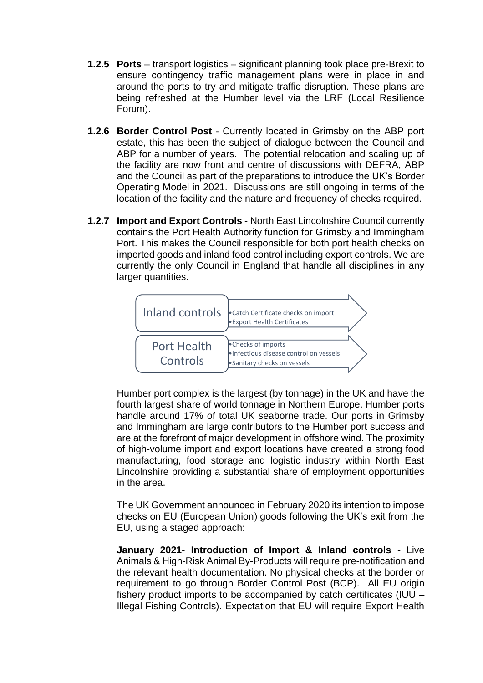- **1.2.5 Ports** transport logistics significant planning took place pre-Brexit to ensure contingency traffic management plans were in place in and around the ports to try and mitigate traffic disruption. These plans are being refreshed at the Humber level via the LRF (Local Resilience Forum).
- **1.2.6 Border Control Post** Currently located in Grimsby on the ABP port estate, this has been the subject of dialogue between the Council and ABP for a number of years. The potential relocation and scaling up of the facility are now front and centre of discussions with DEFRA, ABP and the Council as part of the preparations to introduce the UK's Border Operating Model in 2021. Discussions are still ongoing in terms of the location of the facility and the nature and frequency of checks required.
- **1.2.7 Import and Export Controls -** North East Lincolnshire Council currently contains the Port Health Authority function for Grimsby and Immingham Port. This makes the Council responsible for both port health checks on imported goods and inland food control including export controls. We are currently the only Council in England that handle all disciplines in any larger quantities.



Humber port complex is the largest (by tonnage) in the UK and have the fourth largest share of world tonnage in Northern Europe. Humber ports handle around 17% of total UK seaborne trade. Our ports in Grimsby and Immingham are large contributors to the Humber port success and are at the forefront of major development in offshore wind. The proximity of high-volume import and export locations have created a strong food manufacturing, food storage and logistic industry within North East Lincolnshire providing a substantial share of employment opportunities in the area.

The UK Government announced in February 2020 its intention to impose checks on EU (European Union) goods following the UK's exit from the EU, using a staged approach:

**January 2021- Introduction of Import & Inland controls -** Live Animals & High-Risk Animal By-Products will require pre-notification and the relevant health documentation. No physical checks at the border or requirement to go through Border Control Post (BCP). All EU origin fishery product imports to be accompanied by catch certificates (IUU – Illegal Fishing Controls). Expectation that EU will require Export Health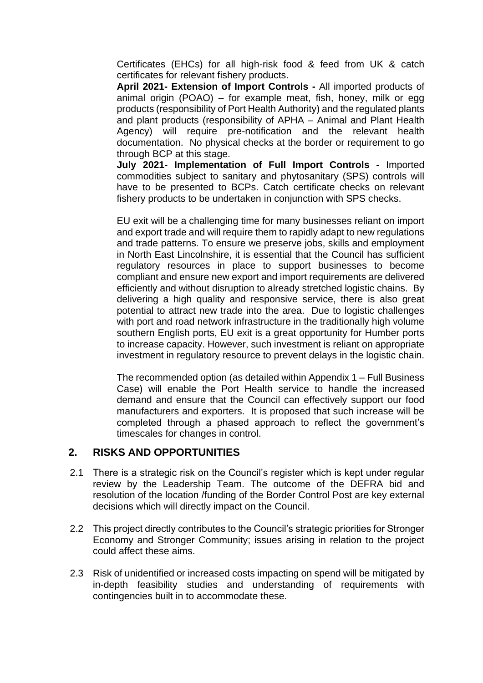Certificates (EHCs) for all high-risk food & feed from UK & catch certificates for relevant fishery products.

**April 2021- Extension of Import Controls -** All imported products of animal origin (POAO) – for example meat, fish, honey, milk or egg products (responsibility of Port Health Authority) and the regulated plants and plant products (responsibility of APHA – Animal and Plant Health Agency) will require pre-notification and the relevant health documentation. No physical checks at the border or requirement to go through BCP at this stage.

**July 2021- Implementation of Full Import Controls -** Imported commodities subject to sanitary and phytosanitary (SPS) controls will have to be presented to BCPs. Catch certificate checks on relevant fishery products to be undertaken in conjunction with SPS checks.

EU exit will be a challenging time for many businesses reliant on import and export trade and will require them to rapidly adapt to new regulations and trade patterns. To ensure we preserve jobs, skills and employment in North East Lincolnshire, it is essential that the Council has sufficient regulatory resources in place to support businesses to become compliant and ensure new export and import requirements are delivered efficiently and without disruption to already stretched logistic chains. By delivering a high quality and responsive service, there is also great potential to attract new trade into the area. Due to logistic challenges with port and road network infrastructure in the traditionally high volume southern English ports, EU exit is a great opportunity for Humber ports to increase capacity. However, such investment is reliant on appropriate investment in regulatory resource to prevent delays in the logistic chain.

The recommended option (as detailed within Appendix 1 – Full Business Case) will enable the Port Health service to handle the increased demand and ensure that the Council can effectively support our food manufacturers and exporters. It is proposed that such increase will be completed through a phased approach to reflect the government's timescales for changes in control.

#### **2. RISKS AND OPPORTUNITIES**

- 2.1 There is a strategic risk on the Council's register which is kept under regular review by the Leadership Team. The outcome of the DEFRA bid and resolution of the location /funding of the Border Control Post are key external decisions which will directly impact on the Council.
- 2.2 This project directly contributes to the Council's strategic priorities for Stronger Economy and Stronger Community; issues arising in relation to the project could affect these aims.
- 2.3 Risk of unidentified or increased costs impacting on spend will be mitigated by in-depth feasibility studies and understanding of requirements with contingencies built in to accommodate these.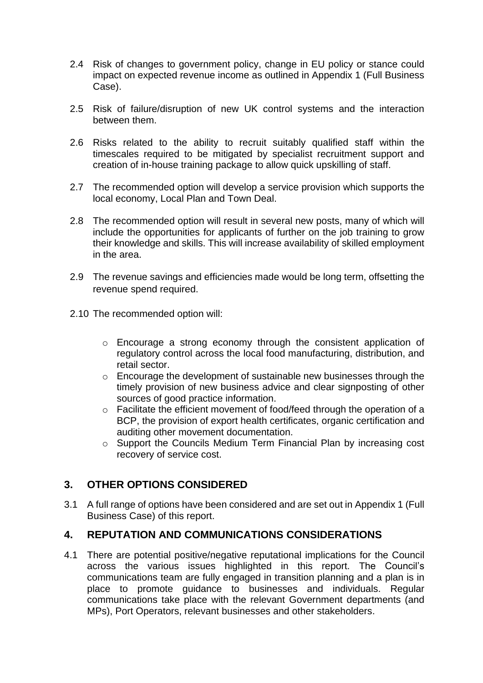- 2.4 Risk of changes to government policy, change in EU policy or stance could impact on expected revenue income as outlined in Appendix 1 (Full Business Case).
- 2.5 Risk of failure/disruption of new UK control systems and the interaction between them.
- 2.6 Risks related to the ability to recruit suitably qualified staff within the timescales required to be mitigated by specialist recruitment support and creation of in-house training package to allow quick upskilling of staff.
- 2.7 The recommended option will develop a service provision which supports the local economy, Local Plan and Town Deal.
- 2.8 The recommended option will result in several new posts, many of which will include the opportunities for applicants of further on the job training to grow their knowledge and skills. This will increase availability of skilled employment in the area.
- 2.9 The revenue savings and efficiencies made would be long term, offsetting the revenue spend required.
- 2.10 The recommended option will:
	- o Encourage a strong economy through the consistent application of regulatory control across the local food manufacturing, distribution, and retail sector.
	- o Encourage the development of sustainable new businesses through the timely provision of new business advice and clear signposting of other sources of good practice information.
	- o Facilitate the efficient movement of food/feed through the operation of a BCP, the provision of export health certificates, organic certification and auditing other movement documentation.
	- o Support the Councils Medium Term Financial Plan by increasing cost recovery of service cost.

# **3. OTHER OPTIONS CONSIDERED**

3.1 A full range of options have been considered and are set out in Appendix 1 (Full Business Case) of this report.

#### **4. REPUTATION AND COMMUNICATIONS CONSIDERATIONS**

4.1 There are potential positive/negative reputational implications for the Council across the various issues highlighted in this report. The Council's communications team are fully engaged in transition planning and a plan is in place to promote guidance to businesses and individuals. Regular communications take place with the relevant Government departments (and MPs), Port Operators, relevant businesses and other stakeholders.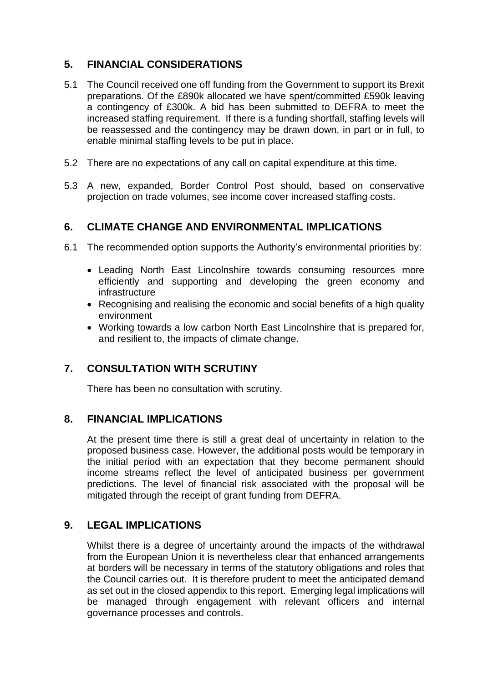# **5. FINANCIAL CONSIDERATIONS**

- 5.1 The Council received one off funding from the Government to support its Brexit preparations. Of the £890k allocated we have spent/committed £590k leaving a contingency of £300k. A bid has been submitted to DEFRA to meet the increased staffing requirement. If there is a funding shortfall, staffing levels will be reassessed and the contingency may be drawn down, in part or in full, to enable minimal staffing levels to be put in place.
- 5.2 There are no expectations of any call on capital expenditure at this time.
- 5.3 A new, expanded, Border Control Post should, based on conservative projection on trade volumes, see income cover increased staffing costs.

#### **6. CLIMATE CHANGE AND ENVIRONMENTAL IMPLICATIONS**

- 6.1 The recommended option supports the Authority's environmental priorities by:
	- Leading North East Lincolnshire towards consuming resources more efficiently and supporting and developing the green economy and infrastructure
	- Recognising and realising the economic and social benefits of a high quality environment
	- Working towards a low carbon North East Lincolnshire that is prepared for, and resilient to, the impacts of climate change.

# **7. CONSULTATION WITH SCRUTINY**

There has been no consultation with scrutiny.

#### **8. FINANCIAL IMPLICATIONS**

At the present time there is still a great deal of uncertainty in relation to the proposed business case. However, the additional posts would be temporary in the initial period with an expectation that they become permanent should income streams reflect the level of anticipated business per government predictions. The level of financial risk associated with the proposal will be mitigated through the receipt of grant funding from DEFRA.

#### **9. LEGAL IMPLICATIONS**

Whilst there is a degree of uncertainty around the impacts of the withdrawal from the European Union it is nevertheless clear that enhanced arrangements at borders will be necessary in terms of the statutory obligations and roles that the Council carries out. It is therefore prudent to meet the anticipated demand as set out in the closed appendix to this report. Emerging legal implications will be managed through engagement with relevant officers and internal governance processes and controls.